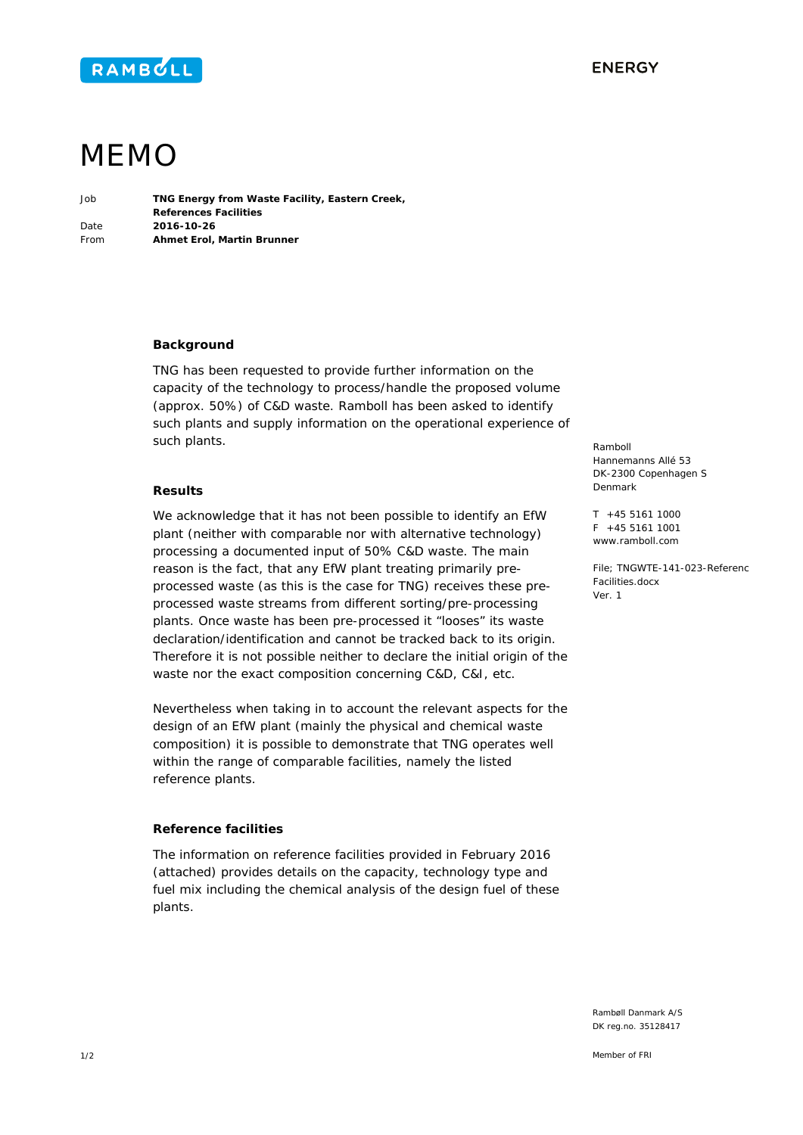



# MEMO

Job **TNG Energy from Waste Facility, Eastern Creek, References Facilities**  Date **2016-10-26**  From **Ahmet Erol, Martin Brunner** 

#### **Background**

TNG has been requested to provide further information on the capacity of the technology to process/handle the proposed volume (approx. 50%) of C&D waste. Ramboll has been asked to identify such plants and supply information on the operational experience of such plants.

#### **Results**

We acknowledge that it has not been possible to identify an EfW plant (neither with comparable nor with alternative technology) processing a documented input of 50% C&D waste. The main reason is the fact, that any EfW plant treating primarily preprocessed waste (as this is the case for TNG) receives these preprocessed waste streams from different sorting/pre-processing plants. Once waste has been pre-processed it "looses" its waste declaration/identification and cannot be tracked back to its origin. Therefore it is not possible neither to declare the initial origin of the waste nor the exact composition concerning C&D, C&I, etc.

Nevertheless when taking in to account the relevant aspects for the design of an EfW plant (mainly the physical and chemical waste composition) it is possible to demonstrate that TNG operates well within the range of comparable facilities, namely the listed reference plants.

### **Reference facilities**

The information on reference facilities provided in February 2016 (attached) provides details on the capacity, technology type and fuel mix including the chemical analysis of the design fuel of these plants.

Ramboll Hannemanns Allé 53 DK-2300 Copenhagen S Denmark

T +45 5161 1000  $F + 45551611001$ www.ramboll.com

File; TNGWTE-141-023-Referenc Facilities.docx Ver. 1

Rambøll Danmark A/S DK reg.no. 35128417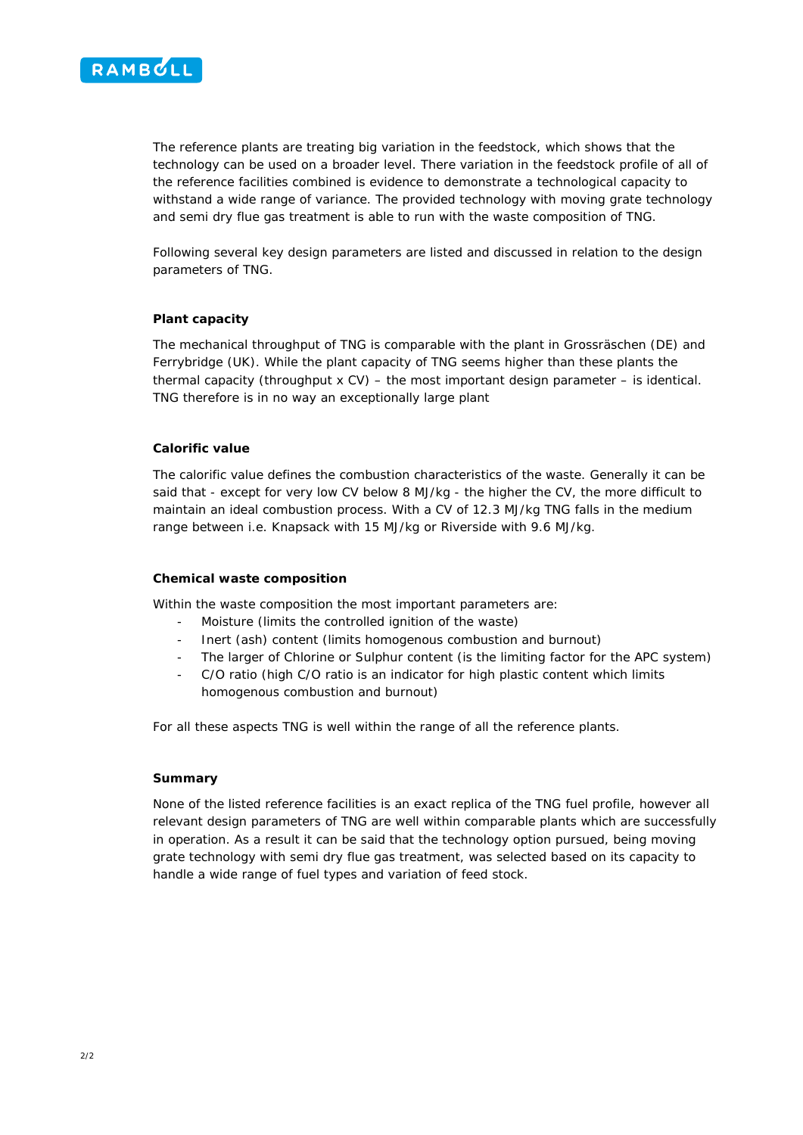

The reference plants are treating big variation in the feedstock, which shows that the technology can be used on a broader level. There variation in the feedstock profile of all of the reference facilities combined is evidence to demonstrate a technological capacity to withstand a wide range of variance. The provided technology with moving grate technology and semi dry flue gas treatment is able to run with the waste composition of TNG.

Following several key design parameters are listed and discussed in relation to the design parameters of TNG.

#### **Plant capacity**

The mechanical throughput of TNG is comparable with the plant in Grossräschen (DE) and Ferrybridge (UK). While the plant capacity of TNG seems higher than these plants the thermal capacity (throughput  $x$  CV) – the most important design parameter – is identical. TNG therefore is in no way an exceptionally large plant

#### **Calorific value**

The calorific value defines the combustion characteristics of the waste. Generally it can be said that - except for very low CV below 8 MJ/kg - the higher the CV, the more difficult to maintain an ideal combustion process. With a CV of 12.3 MJ/kg TNG falls in the medium range between i.e. Knapsack with 15 MJ/kg or Riverside with 9.6 MJ/kg.

#### **Chemical waste composition**

Within the waste composition the most important parameters are:

- Moisture (limits the controlled ignition of the waste)
- Inert (ash) content (limits homogenous combustion and burnout)
- The larger of Chlorine or Sulphur content (is the limiting factor for the APC system)
- C/O ratio (high C/O ratio is an indicator for high plastic content which limits homogenous combustion and burnout)

For all these aspects TNG is well within the range of all the reference plants.

#### **Summary**

None of the listed reference facilities is an exact replica of the TNG fuel profile, however all relevant design parameters of TNG are well within comparable plants which are successfully in operation. As a result it can be said that the technology option pursued, being moving grate technology with semi dry flue gas treatment, was selected based on its capacity to handle a wide range of fuel types and variation of feed stock.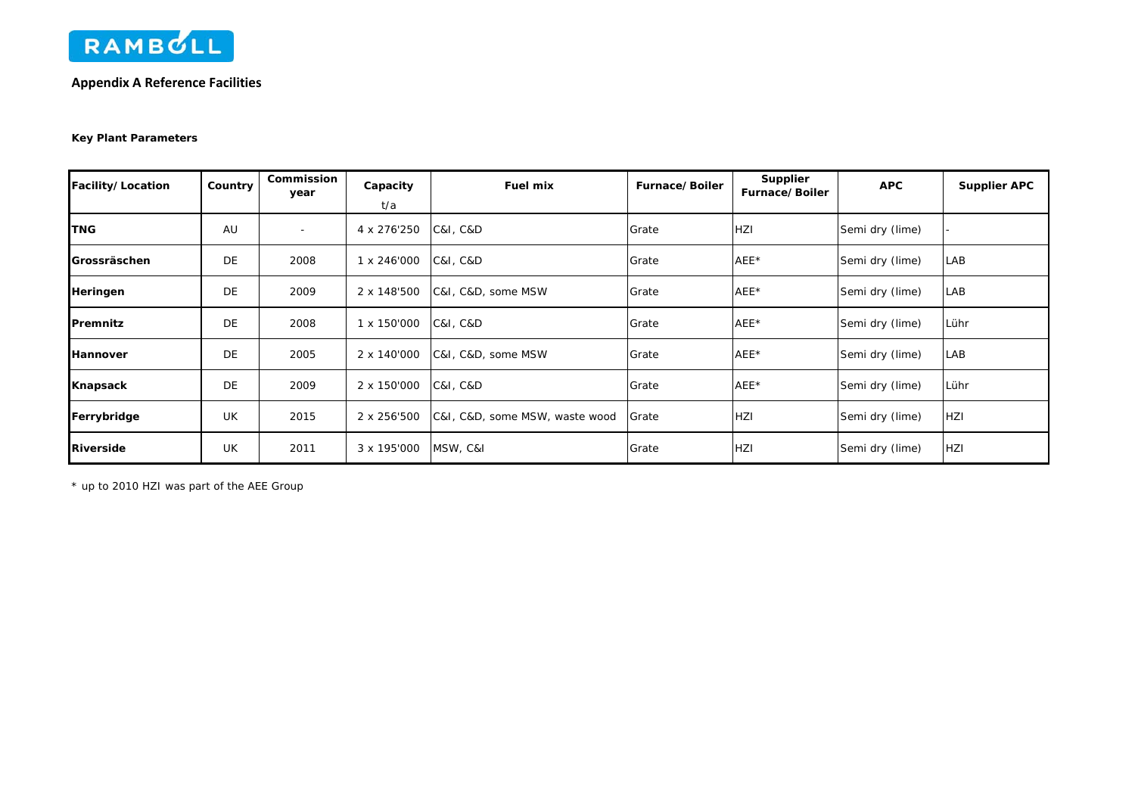

## **Appendix A Reference Facilities**

#### **Key Plant Parameters**

| Facility/Location    | Country | Commission<br>year       | Capacity    | <b>Fuel mix</b>                | Furnace/Boiler | <b>Supplier</b><br>Furnace/Boiler | <b>APC</b>      | <b>Supplier APC</b> |
|----------------------|---------|--------------------------|-------------|--------------------------------|----------------|-----------------------------------|-----------------|---------------------|
|                      |         |                          | t/a         |                                |                |                                   |                 |                     |
| <b>TNG</b>           | AU      | $\overline{\phantom{a}}$ | 4 x 276'250 | C&I, C&D                       | Grate          | <b>HZI</b>                        | Semi dry (lime) |                     |
| <b>IGrossräschen</b> | DE      | 2008                     | 1 x 246'000 | <b>C&amp;I, C&amp;D</b>        | Grate          | AEE*                              | Semi dry (lime) | LAB                 |
| Heringen             | DE      | 2009                     | 2 x 148'500 | C&I, C&D, some MSW             | Grate          | AEE*                              | Semi dry (lime) | LAB                 |
| Premnitz             | DE      | 2008                     | 1 x 150'000 | C&I, C&D                       | Grate          | AEE*                              | Semi dry (lime) | Lühr                |
| Hannover             | DE      | 2005                     | 2 x 140'000 | C&I, C&D, some MSW             | Grate          | AEE*                              | Semi dry (lime) | LAB                 |
| Knapsack             | DE      | 2009                     | 2 x 150'000 | C&I, C&D                       | Grate          | AEE*                              | Semi dry (lime) | Lühr                |
| Ferrybridge          | UK      | 2015                     | 2 x 256'500 | C&I, C&D, some MSW, waste wood | Grate          | <b>HZI</b>                        | Semi dry (lime) | <b>HZI</b>          |
| <b>Riverside</b>     | UK      | 2011                     | 3 x 195'000 | MSW, C&I                       | Grate          | HZI                               | Semi dry (lime) | <b>HZI</b>          |

\* up to 2010 HZI was part of the AEE Group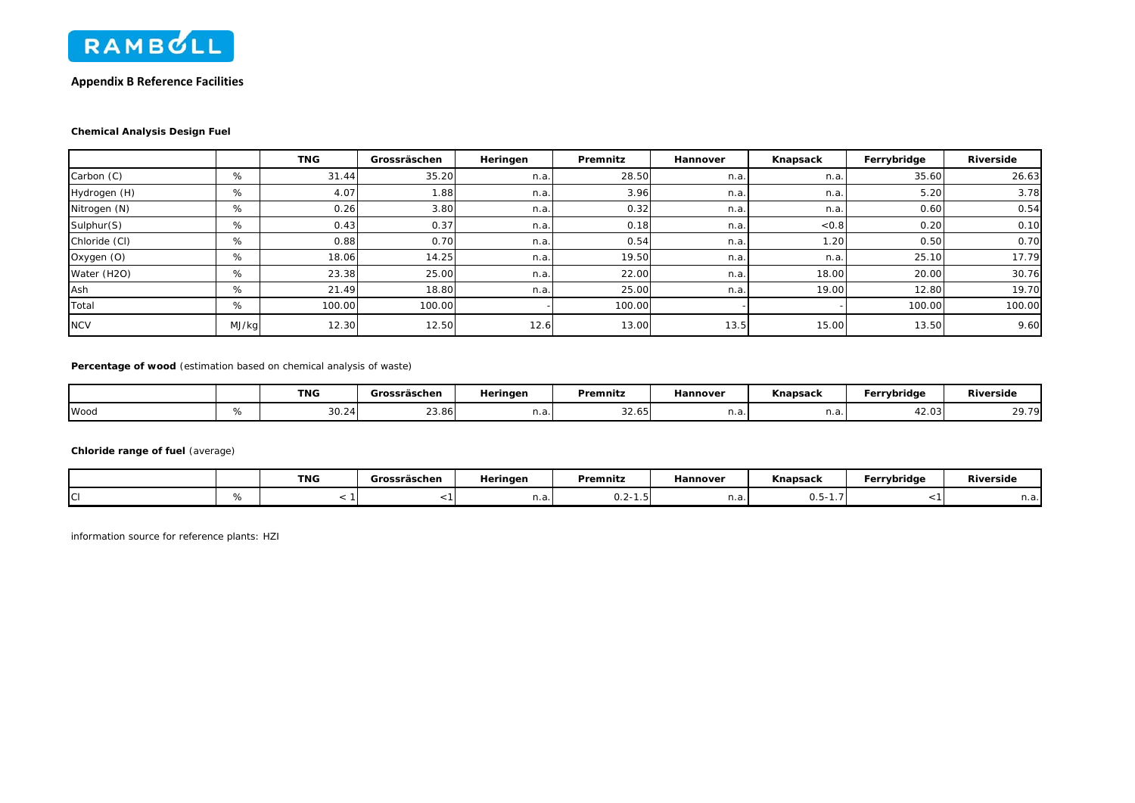

#### **Appendix B Reference Facilities**

#### **Chemical Analysis Design Fuel**

|               |       | <b>TNG</b> | Grossräschen | Heringen | Premnitz | Hannover | Knapsack | Ferrybridge | Riverside |
|---------------|-------|------------|--------------|----------|----------|----------|----------|-------------|-----------|
| Carbon (C)    | %     | 31.44      | 35.20        | n.a.     | 28.50    | n.a.     | n.a.     | 35.60       | 26.63     |
| Hydrogen (H)  | %     | 4.07       | 1.88         | n.a.     | 3.96     | n.a.     | n.a      | 5.20        | 3.78      |
| Nitrogen (N)  | %     | 0.26       | 3.80         | n.a.     | 0.32     | n.a.     | n.a      | 0.60        | 0.54      |
| Sulphur(S)    | %     | 0.43       | 0.37         | n.a.     | 0.18     | n.a.     | < 0.8    | 0.20        | 0.10      |
| Chloride (CI) | %     | 0.88       | 0.70         | n.a.     | 0.54     | n.a.     | 1.20     | 0.50        | 0.70      |
| Oxygen (O)    | %     | 18.06      | 14.25        | n.a.     | 19.50    | n.a.     | n.a      | 25.10       | 17.79     |
| Water (H2O)   | %     | 23.38      | 25.00        | n.a.     | 22.00    | n.a.     | 18.00    | 20.00       | 30.76     |
| Ash           | %     | 21.49      | 18.80        | n.a.     | 25.00    | n.a.     | 19.00    | 12.80       | 19.70     |
| Total         | %     | 100.00     | 100.00       |          | 100.00   |          |          | 100.00      | 100.00    |
| <b>NCV</b>    | MJ/kg | 12.30      | 12.50        | 12.6     | 13.00    | 13.5     | 15.00    | 13.50       | 9.60      |

**Percentage of wood** (estimation based on chemical analysis of waste)

|      |    | <b>TNG</b>                | Grossräschen | Heringen | Premnitz        | Hannover | Knapsack | Ferrybridge | Riverside           |  |
|------|----|---------------------------|--------------|----------|-----------------|----------|----------|-------------|---------------------|--|
| Wood | 70 | $\sim$<br>$\sim$<br>"∆.∪د | 23.86        | ، ۱۰a۰۱  | $\sim$<br>32.65 | 11.a.    | н.а.     | 42.03       | 20. 70.<br><u>.</u> |  |

**Chloride range of fuel** (average)

|   | TNG | Grossräschen | Heringen | Premnitz               | Hannover | Knapsack      | Ferrybridge | Riverside |  |
|---|-----|--------------|----------|------------------------|----------|---------------|-------------|-----------|--|
| C |     |              | n.a.     | $\sim$<br>. D I<br>U.Z | n.a.     | $h -$<br>∪.∪⊺ |             | n.a.l     |  |

information source for reference plants: HZI